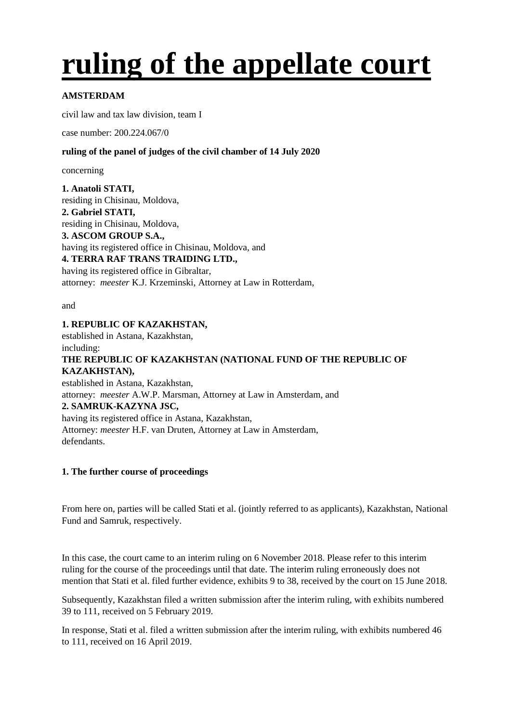# **ruling of the appellate court**

# **AMSTERDAM**

civil law and tax law division, team I

case number: 200.224.067/0

# **ruling of the panel of judges of the civil chamber of 14 July 2020**

concerning

**1. Anatoli STATI,** residing in Chisinau, Moldova, **2. Gabriel STATI,** residing in Chisinau, Moldova, **3. ASCOM GROUP S.A.,** having its registered office in Chisinau, Moldova, and **4. TERRA RAF TRANS TRAIDING LTD.,** having its registered office in Gibraltar, attorney: *meester* K.J. Krzeminski, Attorney at Law in Rotterdam,

and

## **1. REPUBLIC OF KAZAKHSTAN,**

established in Astana, Kazakhstan, including:

# **THE REPUBLIC OF KAZAKHSTAN (NATIONAL FUND OF THE REPUBLIC OF KAZAKHSTAN),**

established in Astana, Kazakhstan, attorney: *meester* A.W.P. Marsman, Attorney at Law in Amsterdam, and **2. SAMRUK-KAZYNA JSC,** having its registered office in Astana, Kazakhstan, Attorney: *meester* H.F. van Druten, Attorney at Law in Amsterdam, defendants.

# **1. The further course of proceedings**

From here on, parties will be called Stati et al. (jointly referred to as applicants), Kazakhstan, National Fund and Samruk, respectively.

In this case, the court came to an interim ruling on 6 November 2018. Please refer to this interim ruling for the course of the proceedings until that date. The interim ruling erroneously does not mention that Stati et al. filed further evidence, exhibits 9 to 38, received by the court on 15 June 2018.

Subsequently, Kazakhstan filed a written submission after the interim ruling, with exhibits numbered 39 to 111, received on 5 February 2019.

In response, Stati et al. filed a written submission after the interim ruling, with exhibits numbered 46 to 111, received on 16 April 2019.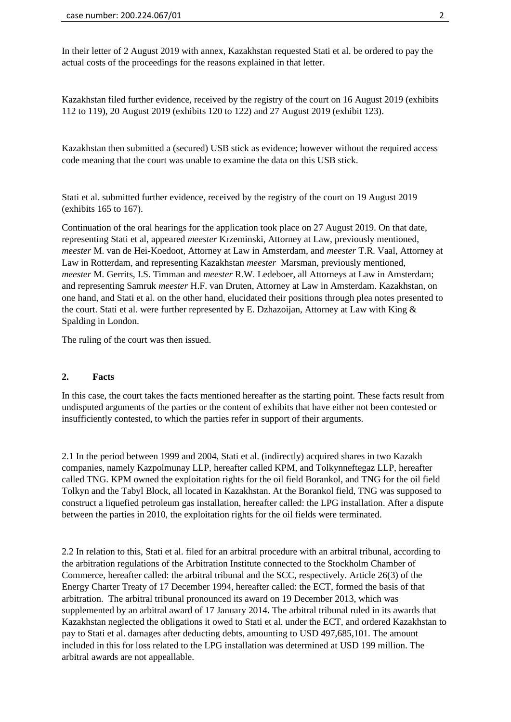In their letter of 2 August 2019 with annex, Kazakhstan requested Stati et al. be ordered to pay the actual costs of the proceedings for the reasons explained in that letter.

Kazakhstan filed further evidence, received by the registry of the court on 16 August 2019 (exhibits 112 to 119), 20 August 2019 (exhibits 120 to 122) and 27 August 2019 (exhibit 123).

Kazakhstan then submitted a (secured) USB stick as evidence; however without the required access code meaning that the court was unable to examine the data on this USB stick.

Stati et al. submitted further evidence, received by the registry of the court on 19 August 2019 (exhibits 165 to 167).

Continuation of the oral hearings for the application took place on 27 August 2019. On that date, representing Stati et al, appeared *meester* Krzeminski, Attorney at Law, previously mentioned, *meester* M. van de Hei-Koedoot, Attorney at Law in Amsterdam, and *meester* T.R. Vaal, Attorney at Law in Rotterdam, and representing Kazakhstan *meester* Marsman, previously mentioned, *meester* M. Gerrits, I.S. Timman and *meester* R.W. Ledeboer, all Attorneys at Law in Amsterdam; and representing Samruk *meester* H.F. van Druten, Attorney at Law in Amsterdam. Kazakhstan, on one hand, and Stati et al. on the other hand, elucidated their positions through plea notes presented to the court. Stati et al. were further represented by E. Dzhazoijan, Attorney at Law with King & Spalding in London.

The ruling of the court was then issued.

### **2. Facts**

In this case, the court takes the facts mentioned hereafter as the starting point. These facts result from undisputed arguments of the parties or the content of exhibits that have either not been contested or insufficiently contested, to which the parties refer in support of their arguments.

2.1 In the period between 1999 and 2004, Stati et al. (indirectly) acquired shares in two Kazakh companies, namely Kazpolmunay LLP, hereafter called KPM, and Tolkynneftegaz LLP, hereafter called TNG. KPM owned the exploitation rights for the oil field Borankol, and TNG for the oil field Tolkyn and the Tabyl Block, all located in Kazakhstan. At the Borankol field, TNG was supposed to construct a liquefied petroleum gas installation, hereafter called: the LPG installation. After a dispute between the parties in 2010, the exploitation rights for the oil fields were terminated.

2.2 In relation to this, Stati et al. filed for an arbitral procedure with an arbitral tribunal, according to the arbitration regulations of the Arbitration Institute connected to the Stockholm Chamber of Commerce, hereafter called: the arbitral tribunal and the SCC, respectively. Article 26(3) of the Energy Charter Treaty of 17 December 1994, hereafter called: the ECT, formed the basis of that arbitration. The arbitral tribunal pronounced its award on 19 December 2013, which was supplemented by an arbitral award of 17 January 2014. The arbitral tribunal ruled in its awards that Kazakhstan neglected the obligations it owed to Stati et al. under the ECT, and ordered Kazakhstan to pay to Stati et al. damages after deducting debts, amounting to USD 497,685,101. The amount included in this for loss related to the LPG installation was determined at USD 199 million. The arbitral awards are not appeallable.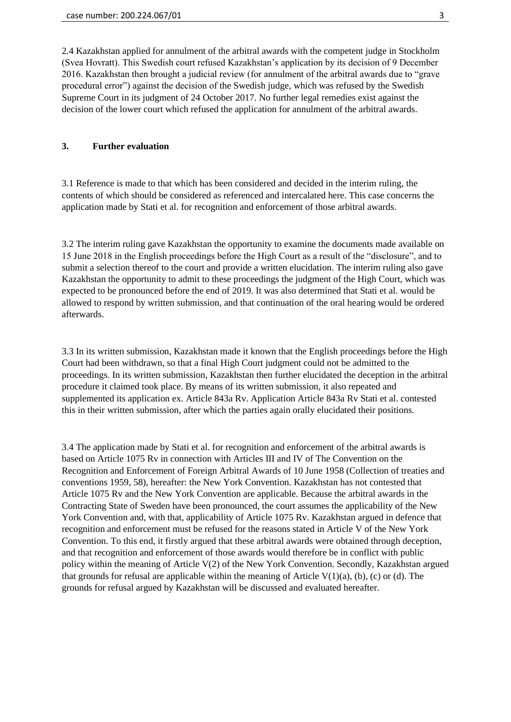2.4 Kazakhstan applied for annulment of the arbitral awards with the competent judge in Stockholm (Svea Hovratt). This Swedish court refused Kazakhstan's application by its decision of 9 December 2016. Kazakhstan then brought a judicial review (for annulment of the arbitral awards due to "grave procedural error") against the decision of the Swedish judge, which was refused by the Swedish Supreme Court in its judgment of 24 October 2017. No further legal remedies exist against the decision of the lower court which refused the application for annulment of the arbitral awards.

## **3. Further evaluation**

3.1 Reference is made to that which has been considered and decided in the interim ruling, the contents of which should be considered as referenced and intercalated here. This case concerns the application made by Stati et al. for recognition and enforcement of those arbitral awards.

3.2 The interim ruling gave Kazakhstan the opportunity to examine the documents made available on 15 June 2018 in the English proceedings before the High Court as a result of the "disclosure", and to submit a selection thereof to the court and provide a written elucidation. The interim ruling also gave Kazakhstan the opportunity to admit to these proceedings the judgment of the High Court, which was expected to be pronounced before the end of 2019. It was also determined that Stati et al. would be allowed to respond by written submission, and that continuation of the oral hearing would be ordered afterwards.

3.3 In its written submission, Kazakhstan made it known that the English proceedings before the High Court had been withdrawn, so that a final High Court judgment could not be admitted to the proceedings. In its written submission, Kazakhstan then further elucidated the deception in the arbitral procedure it claimed took place. By means of its written submission, it also repeated and supplemented its application ex. Article 843a Rv. Application Article 843a Rv Stati et al. contested this in their written submission, after which the parties again orally elucidated their positions.

3.4 The application made by Stati et al. for recognition and enforcement of the arbitral awards is based on Article 1075 Rv in connection with Articles III and IV of The Convention on the Recognition and Enforcement of Foreign Arbitral Awards of 10 June 1958 (Collection of treaties and conventions 1959, 58), hereafter: the New York Convention. Kazakhstan has not contested that Article 1075 Rv and the New York Convention are applicable. Because the arbitral awards in the Contracting State of Sweden have been pronounced, the court assumes the applicability of the New York Convention and, with that, applicability of Article 1075 Rv. Kazakhstan argued in defence that recognition and enforcement must be refused for the reasons stated in Article V of the New York Convention. To this end, it firstly argued that these arbitral awards were obtained through deception, and that recognition and enforcement of those awards would therefore be in conflict with public policy within the meaning of Article V(2) of the New York Convention. Secondly, Kazakhstan argued that grounds for refusal are applicable within the meaning of Article  $V(1)(a)$ , (b), (c) or (d). The grounds for refusal argued by Kazakhstan will be discussed and evaluated hereafter.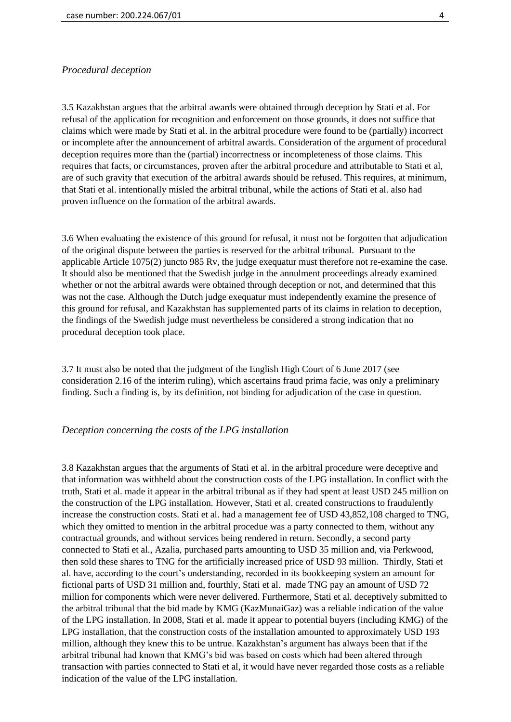## *Procedural deception*

3.5 Kazakhstan argues that the arbitral awards were obtained through deception by Stati et al. For refusal of the application for recognition and enforcement on those grounds, it does not suffice that claims which were made by Stati et al. in the arbitral procedure were found to be (partially) incorrect or incomplete after the announcement of arbitral awards. Consideration of the argument of procedural deception requires more than the (partial) incorrectness or incompleteness of those claims. This requires that facts, or circumstances, proven after the arbitral procedure and attributable to Stati et al, are of such gravity that execution of the arbitral awards should be refused. This requires, at minimum, that Stati et al. intentionally misled the arbitral tribunal, while the actions of Stati et al. also had proven influence on the formation of the arbitral awards.

3.6 When evaluating the existence of this ground for refusal, it must not be forgotten that adjudication of the original dispute between the parties is reserved for the arbitral tribunal. Pursuant to the applicable Article 1075(2) juncto 985 Rv, the judge exequatur must therefore not re-examine the case. It should also be mentioned that the Swedish judge in the annulment proceedings already examined whether or not the arbitral awards were obtained through deception or not, and determined that this was not the case. Although the Dutch judge exequatur must independently examine the presence of this ground for refusal, and Kazakhstan has supplemented parts of its claims in relation to deception, the findings of the Swedish judge must nevertheless be considered a strong indication that no procedural deception took place.

3.7 It must also be noted that the judgment of the English High Court of 6 June 2017 (see consideration 2.16 of the interim ruling), which ascertains fraud prima facie, was only a preliminary finding. Such a finding is, by its definition, not binding for adjudication of the case in question.

#### *Deception concerning the costs of the LPG installation*

3.8 Kazakhstan argues that the arguments of Stati et al. in the arbitral procedure were deceptive and that information was withheld about the construction costs of the LPG installation. In conflict with the truth, Stati et al. made it appear in the arbitral tribunal as if they had spent at least USD 245 million on the construction of the LPG installation. However, Stati et al. created constructions to fraudulently increase the construction costs. Stati et al. had a management fee of USD 43,852,108 charged to TNG, which they omitted to mention in the arbitral procedue was a party connected to them, without any contractual grounds, and without services being rendered in return. Secondly, a second party connected to Stati et al., Azalia, purchased parts amounting to USD 35 million and, via Perkwood, then sold these shares to TNG for the artificially increased price of USD 93 million. Thirdly, Stati et al. have, according to the court's understanding, recorded in its bookkeeping system an amount for fictional parts of USD 31 million and, fourthly, Stati et al. made TNG pay an amount of USD 72 million for components which were never delivered. Furthermore, Stati et al. deceptively submitted to the arbitral tribunal that the bid made by KMG (KazMunaiGaz) was a reliable indication of the value of the LPG installation. In 2008, Stati et al. made it appear to potential buyers (including KMG) of the LPG installation, that the construction costs of the installation amounted to approximately USD 193 million, although they knew this to be untrue. Kazakhstan's argument has always been that if the arbitral tribunal had known that KMG's bid was based on costs which had been altered through transaction with parties connected to Stati et al, it would have never regarded those costs as a reliable indication of the value of the LPG installation.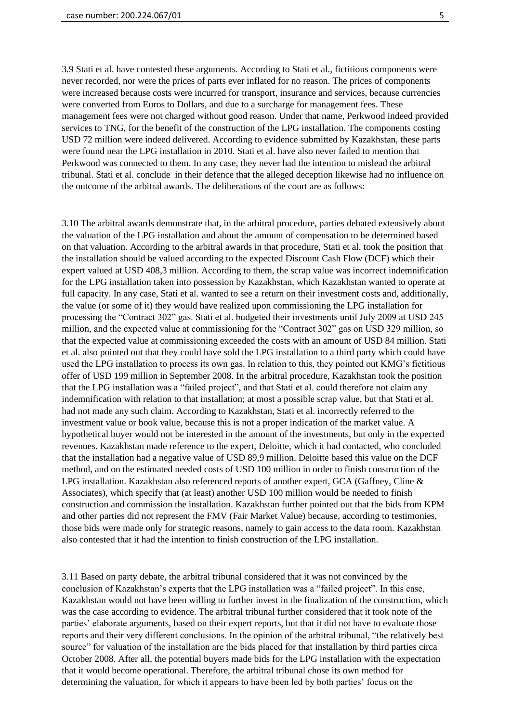3.9 Stati et al. have contested these arguments. According to Stati et al., fictitious components were never recorded, nor were the prices of parts ever inflated for no reason. The prices of components were increased because costs were incurred for transport, insurance and services, because currencies were converted from Euros to Dollars, and due to a surcharge for management fees. These management fees were not charged without good reason. Under that name, Perkwood indeed provided services to TNG, for the benefit of the construction of the LPG installation. The components costing USD 72 million were indeed delivered. According to evidence submitted by Kazakhstan, these parts were found near the LPG installation in 2010. Stati et al. have also never failed to mention that Perkwood was connected to them. In any case, they never had the intention to mislead the arbitral tribunal. Stati et al. conclude in their defence that the alleged deception likewise had no influence on the outcome of the arbitral awards. The deliberations of the court are as follows:

3.10 The arbitral awards demonstrate that, in the arbitral procedure, parties debated extensively about the valuation of the LPG installation and about the amount of compensation to be determined based on that valuation. According to the arbitral awards in that procedure, Stati et al. took the position that the installation should be valued according to the expected Discount Cash Flow (DCF) which their expert valued at USD 408,3 million. According to them, the scrap value was incorrect indemnification for the LPG installation taken into possession by Kazakhstan, which Kazakhstan wanted to operate at full capacity. In any case, Stati et al. wanted to see a return on their investment costs and, additionally, the value (or some of it) they would have realized upon commissioning the LPG installation for processing the "Contract 302" gas. Stati et al. budgeted their investments until July 2009 at USD 245 million, and the expected value at commissioning for the "Contract 302" gas on USD 329 million, so that the expected value at commissioning exceeded the costs with an amount of USD 84 million. Stati et al. also pointed out that they could have sold the LPG installation to a third party which could have used the LPG installation to process its own gas. In relation to this, they pointed out KMG's fictitious offer of USD 199 million in September 2008. In the arbitral procedure, Kazakhstan took the position that the LPG installation was a "failed project", and that Stati et al. could therefore not claim any indemnification with relation to that installation; at most a possible scrap value, but that Stati et al. had not made any such claim. According to Kazakhstan, Stati et al. incorrectly referred to the investment value or book value, because this is not a proper indication of the market value. A hypothetical buyer would not be interested in the amount of the investments, but only in the expected revenues. Kazakhstan made reference to the expert, Deloitte, which it had contacted, who concluded that the installation had a negative value of USD 89,9 million. Deloitte based this value on the DCF method, and on the estimated needed costs of USD 100 million in order to finish construction of the LPG installation. Kazakhstan also referenced reports of another expert, GCA (Gaffney, Cline & Associates), which specify that (at least) another USD 100 million would be needed to finish construction and commission the installation. Kazakhstan further pointed out that the bids from KPM and other parties did not represent the FMV (Fair Market Value) because, according to testimonies, those bids were made only for strategic reasons, namely to gain access to the data room. Kazakhstan also contested that it had the intention to finish construction of the LPG installation.

3.11 Based on party debate, the arbitral tribunal considered that it was not convinced by the conclusion of Kazakhstan's experts that the LPG installation was a "failed project". In this case, Kazakhstan would not have been willing to further invest in the finalization of the construction, which was the case according to evidence. The arbitral tribunal further considered that it took note of the parties' elaborate arguments, based on their expert reports, but that it did not have to evaluate those reports and their very different conclusions. In the opinion of the arbitral tribunal, "the relatively best source" for valuation of the installation are the bids placed for that installation by third parties circa October 2008. After all, the potential buyers made bids for the LPG installation with the expectation that it would become operational. Therefore, the arbitral tribunal chose its own method for determining the valuation, for which it appears to have been led by both parties' focus on the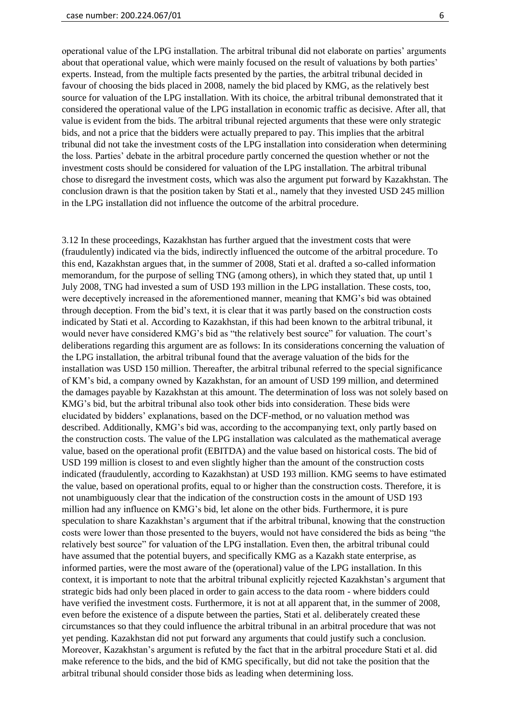operational value of the LPG installation. The arbitral tribunal did not elaborate on parties' arguments about that operational value, which were mainly focused on the result of valuations by both parties' experts. Instead, from the multiple facts presented by the parties, the arbitral tribunal decided in favour of choosing the bids placed in 2008, namely the bid placed by KMG, as the relatively best source for valuation of the LPG installation. With its choice, the arbitral tribunal demonstrated that it considered the operational value of the LPG installation in economic traffic as decisive. After all, that value is evident from the bids. The arbitral tribunal rejected arguments that these were only strategic bids, and not a price that the bidders were actually prepared to pay. This implies that the arbitral tribunal did not take the investment costs of the LPG installation into consideration when determining the loss. Parties' debate in the arbitral procedure partly concerned the question whether or not the investment costs should be considered for valuation of the LPG installation. The arbitral tribunal chose to disregard the investment costs, which was also the argument put forward by Kazakhstan. The conclusion drawn is that the position taken by Stati et al., namely that they invested USD 245 million in the LPG installation did not influence the outcome of the arbitral procedure.

3.12 In these proceedings, Kazakhstan has further argued that the investment costs that were (fraudulently) indicated via the bids, indirectly influenced the outcome of the arbitral procedure. To this end, Kazakhstan argues that, in the summer of 2008, Stati et al. drafted a so-called information memorandum, for the purpose of selling TNG (among others), in which they stated that, up until 1 July 2008, TNG had invested a sum of USD 193 million in the LPG installation. These costs, too, were deceptively increased in the aforementioned manner, meaning that KMG's bid was obtained through deception. From the bid's text, it is clear that it was partly based on the construction costs indicated by Stati et al. According to Kazakhstan, if this had been known to the arbitral tribunal, it would never have considered KMG's bid as "the relatively best source" for valuation. The court's deliberations regarding this argument are as follows: In its considerations concerning the valuation of the LPG installation, the arbitral tribunal found that the average valuation of the bids for the installation was USD 150 million. Thereafter, the arbitral tribunal referred to the special significance of KM's bid, a company owned by Kazakhstan, for an amount of USD 199 million, and determined the damages payable by Kazakhstan at this amount. The determination of loss was not solely based on KMG's bid, but the arbitral tribunal also took other bids into consideration. These bids were elucidated by bidders' explanations, based on the DCF-method, or no valuation method was described. Additionally, KMG's bid was, according to the accompanying text, only partly based on the construction costs. The value of the LPG installation was calculated as the mathematical average value, based on the operational profit (EBITDA) and the value based on historical costs. The bid of USD 199 million is closest to and even slightly higher than the amount of the construction costs indicated (fraudulently, according to Kazakhstan) at USD 193 million. KMG seems to have estimated the value, based on operational profits, equal to or higher than the construction costs. Therefore, it is not unambiguously clear that the indication of the construction costs in the amount of USD 193 million had any influence on KMG's bid, let alone on the other bids. Furthermore, it is pure speculation to share Kazakhstan's argument that if the arbitral tribunal, knowing that the construction costs were lower than those presented to the buyers, would not have considered the bids as being "the relatively best source" for valuation of the LPG installation. Even then, the arbitral tribunal could have assumed that the potential buyers, and specifically KMG as a Kazakh state enterprise, as informed parties, were the most aware of the (operational) value of the LPG installation. In this context, it is important to note that the arbitral tribunal explicitly rejected Kazakhstan's argument that strategic bids had only been placed in order to gain access to the data room - where bidders could have verified the investment costs. Furthermore, it is not at all apparent that, in the summer of 2008, even before the existence of a dispute between the parties, Stati et al. deliberately created these circumstances so that they could influence the arbitral tribunal in an arbitral procedure that was not yet pending. Kazakhstan did not put forward any arguments that could justify such a conclusion. Moreover, Kazakhstan's argument is refuted by the fact that in the arbitral procedure Stati et al. did make reference to the bids, and the bid of KMG specifically, but did not take the position that the arbitral tribunal should consider those bids as leading when determining loss.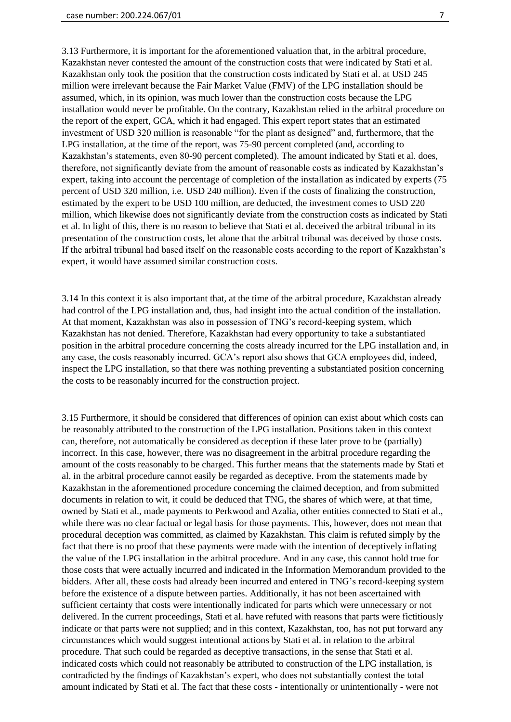3.13 Furthermore, it is important for the aforementioned valuation that, in the arbitral procedure, Kazakhstan never contested the amount of the construction costs that were indicated by Stati et al. Kazakhstan only took the position that the construction costs indicated by Stati et al. at USD 245 million were irrelevant because the Fair Market Value (FMV) of the LPG installation should be assumed, which, in its opinion, was much lower than the construction costs because the LPG installation would never be profitable. On the contrary, Kazakhstan relied in the arbitral procedure on the report of the expert, GCA, which it had engaged. This expert report states that an estimated investment of USD 320 million is reasonable "for the plant as designed" and, furthermore, that the LPG installation, at the time of the report, was 75-90 percent completed (and, according to Kazakhstan's statements, even 80-90 percent completed). The amount indicated by Stati et al. does, therefore, not significantly deviate from the amount of reasonable costs as indicated by Kazakhstan's expert, taking into account the percentage of completion of the installation as indicated by experts (75 percent of USD 320 million, i.e. USD 240 million). Even if the costs of finalizing the construction, estimated by the expert to be USD 100 million, are deducted, the investment comes to USD 220 million, which likewise does not significantly deviate from the construction costs as indicated by Stati et al. In light of this, there is no reason to believe that Stati et al. deceived the arbitral tribunal in its presentation of the construction costs, let alone that the arbitral tribunal was deceived by those costs. If the arbitral tribunal had based itself on the reasonable costs according to the report of Kazakhstan's expert, it would have assumed similar construction costs.

3.14 In this context it is also important that, at the time of the arbitral procedure, Kazakhstan already had control of the LPG installation and, thus, had insight into the actual condition of the installation. At that moment, Kazakhstan was also in possession of TNG's record-keeping system, which Kazakhstan has not denied. Therefore, Kazakhstan had every opportunity to take a substantiated position in the arbitral procedure concerning the costs already incurred for the LPG installation and, in any case, the costs reasonably incurred. GCA's report also shows that GCA employees did, indeed, inspect the LPG installation, so that there was nothing preventing a substantiated position concerning the costs to be reasonably incurred for the construction project.

3.15 Furthermore, it should be considered that differences of opinion can exist about which costs can be reasonably attributed to the construction of the LPG installation. Positions taken in this context can, therefore, not automatically be considered as deception if these later prove to be (partially) incorrect. In this case, however, there was no disagreement in the arbitral procedure regarding the amount of the costs reasonably to be charged. This further means that the statements made by Stati et al. in the arbitral procedure cannot easily be regarded as deceptive. From the statements made by Kazakhstan in the aforementioned procedure concerning the claimed deception, and from submitted documents in relation to wit, it could be deduced that TNG, the shares of which were, at that time, owned by Stati et al., made payments to Perkwood and Azalia, other entities connected to Stati et al., while there was no clear factual or legal basis for those payments. This, however, does not mean that procedural deception was committed, as claimed by Kazakhstan. This claim is refuted simply by the fact that there is no proof that these payments were made with the intention of deceptively inflating the value of the LPG installation in the arbitral procedure. And in any case, this cannot hold true for those costs that were actually incurred and indicated in the Information Memorandum provided to the bidders. After all, these costs had already been incurred and entered in TNG's record-keeping system before the existence of a dispute between parties. Additionally, it has not been ascertained with sufficient certainty that costs were intentionally indicated for parts which were unnecessary or not delivered. In the current proceedings, Stati et al. have refuted with reasons that parts were fictitiously indicate or that parts were not supplied; and in this context, Kazakhstan, too, has not put forward any circumstances which would suggest intentional actions by Stati et al. in relation to the arbitral procedure. That such could be regarded as deceptive transactions, in the sense that Stati et al. indicated costs which could not reasonably be attributed to construction of the LPG installation, is contradicted by the findings of Kazakhstan's expert, who does not substantially contest the total amount indicated by Stati et al. The fact that these costs - intentionally or unintentionally - were not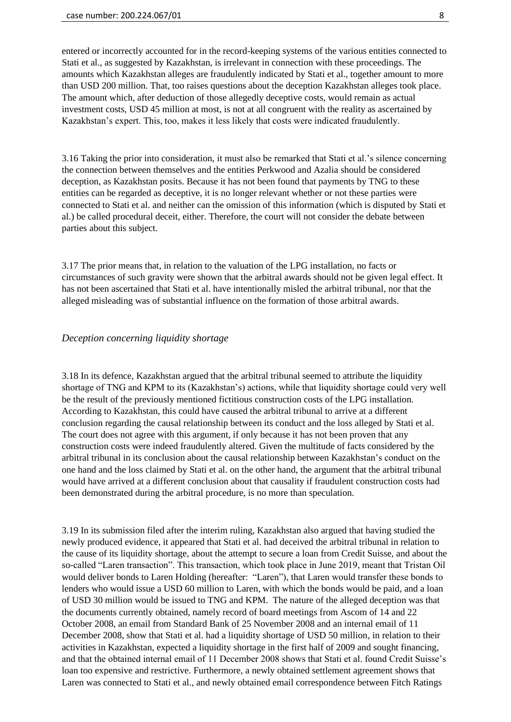entered or incorrectly accounted for in the record-keeping systems of the various entities connected to Stati et al., as suggested by Kazakhstan, is irrelevant in connection with these proceedings. The amounts which Kazakhstan alleges are fraudulently indicated by Stati et al., together amount to more than USD 200 million. That, too raises questions about the deception Kazakhstan alleges took place. The amount which, after deduction of those allegedly deceptive costs, would remain as actual investment costs, USD 45 million at most, is not at all congruent with the reality as ascertained by Kazakhstan's expert. This, too, makes it less likely that costs were indicated fraudulently.

3.16 Taking the prior into consideration, it must also be remarked that Stati et al.'s silence concerning the connection between themselves and the entities Perkwood and Azalia should be considered deception, as Kazakhstan posits. Because it has not been found that payments by TNG to these entities can be regarded as deceptive, it is no longer relevant whether or not these parties were connected to Stati et al. and neither can the omission of this information (which is disputed by Stati et al.) be called procedural deceit, either. Therefore, the court will not consider the debate between parties about this subject.

3.17 The prior means that, in relation to the valuation of the LPG installation, no facts or circumstances of such gravity were shown that the arbitral awards should not be given legal effect. It has not been ascertained that Stati et al. have intentionally misled the arbitral tribunal, nor that the alleged misleading was of substantial influence on the formation of those arbitral awards.

## *Deception concerning liquidity shortage*

3.18 In its defence, Kazakhstan argued that the arbitral tribunal seemed to attribute the liquidity shortage of TNG and KPM to its (Kazakhstan's) actions, while that liquidity shortage could very well be the result of the previously mentioned fictitious construction costs of the LPG installation. According to Kazakhstan, this could have caused the arbitral tribunal to arrive at a different conclusion regarding the causal relationship between its conduct and the loss alleged by Stati et al. The court does not agree with this argument, if only because it has not been proven that any construction costs were indeed fraudulently altered. Given the multitude of facts considered by the arbitral tribunal in its conclusion about the causal relationship between Kazakhstan's conduct on the one hand and the loss claimed by Stati et al. on the other hand, the argument that the arbitral tribunal would have arrived at a different conclusion about that causality if fraudulent construction costs had been demonstrated during the arbitral procedure, is no more than speculation.

3.19 In its submission filed after the interim ruling, Kazakhstan also argued that having studied the newly produced evidence, it appeared that Stati et al. had deceived the arbitral tribunal in relation to the cause of its liquidity shortage, about the attempt to secure a loan from Credit Suisse, and about the so-called "Laren transaction". This transaction, which took place in June 2019, meant that Tristan Oil would deliver bonds to Laren Holding (hereafter: "Laren"), that Laren would transfer these bonds to lenders who would issue a USD 60 million to Laren, with which the bonds would be paid, and a loan of USD 30 million would be issued to TNG and KPM. The nature of the alleged deception was that the documents currently obtained, namely record of board meetings from Ascom of 14 and 22 October 2008, an email from Standard Bank of 25 November 2008 and an internal email of 11 December 2008, show that Stati et al. had a liquidity shortage of USD 50 million, in relation to their activities in Kazakhstan, expected a liquidity shortage in the first half of 2009 and sought financing, and that the obtained internal email of 11 December 2008 shows that Stati et al. found Credit Suisse's loan too expensive and restrictive. Furthermore, a newly obtained settlement agreement shows that Laren was connected to Stati et al., and newly obtained email correspondence between Fitch Ratings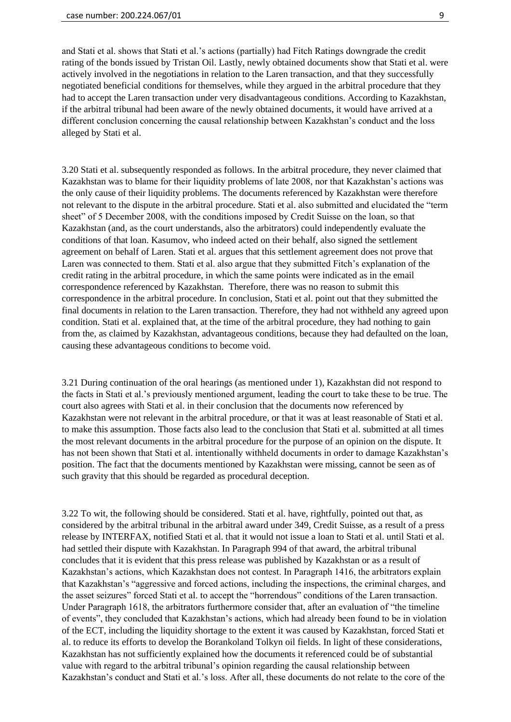and Stati et al. shows that Stati et al.'s actions (partially) had Fitch Ratings downgrade the credit rating of the bonds issued by Tristan Oil. Lastly, newly obtained documents show that Stati et al. were actively involved in the negotiations in relation to the Laren transaction, and that they successfully negotiated beneficial conditions for themselves, while they argued in the arbitral procedure that they had to accept the Laren transaction under very disadvantageous conditions. According to Kazakhstan, if the arbitral tribunal had been aware of the newly obtained documents, it would have arrived at a different conclusion concerning the causal relationship between Kazakhstan's conduct and the loss alleged by Stati et al.

3.20 Stati et al. subsequently responded as follows. In the arbitral procedure, they never claimed that Kazakhstan was to blame for their liquidity problems of late 2008, nor that Kazakhstan's actions was the only cause of their liquidity problems. The documents referenced by Kazakhstan were therefore not relevant to the dispute in the arbitral procedure. Stati et al. also submitted and elucidated the "term sheet" of 5 December 2008, with the conditions imposed by Credit Suisse on the loan, so that Kazakhstan (and, as the court understands, also the arbitrators) could independently evaluate the conditions of that loan. Kasumov, who indeed acted on their behalf, also signed the settlement agreement on behalf of Laren. Stati et al. argues that this settlement agreement does not prove that Laren was connected to them. Stati et al. also argue that they submitted Fitch's explanation of the credit rating in the arbitral procedure, in which the same points were indicated as in the email correspondence referenced by Kazakhstan. Therefore, there was no reason to submit this correspondence in the arbitral procedure. In conclusion, Stati et al. point out that they submitted the final documents in relation to the Laren transaction. Therefore, they had not withheld any agreed upon condition. Stati et al. explained that, at the time of the arbitral procedure, they had nothing to gain from the, as claimed by Kazakhstan, advantageous conditions, because they had defaulted on the loan, causing these advantageous conditions to become void.

3.21 During continuation of the oral hearings (as mentioned under 1), Kazakhstan did not respond to the facts in Stati et al.'s previously mentioned argument, leading the court to take these to be true. The court also agrees with Stati et al. in their conclusion that the documents now referenced by Kazakhstan were not relevant in the arbitral procedure, or that it was at least reasonable of Stati et al. to make this assumption. Those facts also lead to the conclusion that Stati et al. submitted at all times the most relevant documents in the arbitral procedure for the purpose of an opinion on the dispute. It has not been shown that Stati et al. intentionally withheld documents in order to damage Kazakhstan's position. The fact that the documents mentioned by Kazakhstan were missing, cannot be seen as of such gravity that this should be regarded as procedural deception.

3.22 To wit, the following should be considered. Stati et al. have, rightfully, pointed out that, as considered by the arbitral tribunal in the arbitral award under 349, Credit Suisse, as a result of a press release by INTERFAX, notified Stati et al. that it would not issue a loan to Stati et al. until Stati et al. had settled their dispute with Kazakhstan. In Paragraph 994 of that award, the arbitral tribunal concludes that it is evident that this press release was published by Kazakhstan or as a result of Kazakhstan's actions, which Kazakhstan does not contest. In Paragraph 1416, the arbitrators explain that Kazakhstan's "aggressive and forced actions, including the inspections, the criminal charges, and the asset seizures" forced Stati et al. to accept the "horrendous" conditions of the Laren transaction. Under Paragraph 1618, the arbitrators furthermore consider that, after an evaluation of "the timeline of events", they concluded that Kazakhstan's actions, which had already been found to be in violation of the ECT, including the liquidity shortage to the extent it was caused by Kazakhstan, forced Stati et al. to reduce its efforts to develop the Borankoland Tolkyn oil fields. In light of these considerations, Kazakhstan has not sufficiently explained how the documents it referenced could be of substantial value with regard to the arbitral tribunal's opinion regarding the causal relationship between Kazakhstan's conduct and Stati et al.'s loss. After all, these documents do not relate to the core of the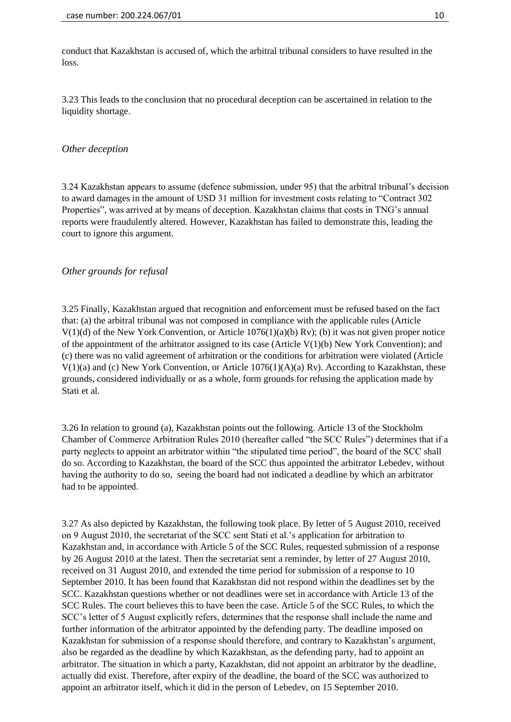conduct that Kazakhstan is accused of, which the arbitral tribunal considers to have resulted in the loss.

3.23 This leads to the conclusion that no procedural deception can be ascertained in relation to the liquidity shortage.

## *Other deception*

3.24 Kazakhstan appears to assume (defence submission, under 95) that the arbitral tribunal's decision to award damages in the amount of USD 31 million for investment costs relating to "Contract 302 Properties", was arrived at by means of deception. Kazakhstan claims that costs in TNG's annual reports were fraudulently altered. However, Kazakhstan has failed to demonstrate this, leading the court to ignore this argument.

## *Other grounds for refusal*

3.25 Finally, Kazakhstan argued that recognition and enforcement must be refused based on the fact that: (a) the arbitral tribunal was not composed in compliance with the applicable rules (Article V(1)(d) of the New York Convention, or Article 1076(1)(a)(b) Rv); (b) it was not given proper notice of the appointment of the arbitrator assigned to its case (Article  $V(1)(b)$  New York Convention); and (c) there was no valid agreement of arbitration or the conditions for arbitration were violated (Article V(1)(a) and (c) New York Convention, or Article 1076(1)(A)(a) Rv). According to Kazakhstan, these grounds, considered individually or as a whole, form grounds for refusing the application made by Stati et al.

3.26 In relation to ground (a), Kazakhstan points out the following. Article 13 of the Stockholm Chamber of Commerce Arbitration Rules 2010 (hereafter called "the SCC Rules") determines that if a party neglects to appoint an arbitrator within "the stipulated time period", the board of the SCC shall do so. According to Kazakhstan, the board of the SCC thus appointed the arbitrator Lebedev, without having the authority to do so, seeing the board had not indicated a deadline by which an arbitrator had to be appointed.

3.27 As also depicted by Kazakhstan, the following took place. By letter of 5 August 2010, received on 9 August 2010, the secretariat of the SCC sent Stati et al.'s application for arbitration to Kazakhstan and, in accordance with Article 5 of the SCC Rules, requested submission of a response by 26 August 2010 at the latest. Then the secretariat sent a reminder, by letter of 27 August 2010, received on 31 August 2010, and extended the time period for submission of a response to 10 September 2010. It has been found that Kazakhstan did not respond within the deadlines set by the SCC. Kazakhstan questions whether or not deadlines were set in accordance with Article 13 of the SCC Rules. The court believes this to have been the case. Article 5 of the SCC Rules, to which the SCC's letter of 5 August explicitly refers, determines that the response shall include the name and further information of the arbitrator appointed by the defending party. The deadline imposed on Kazakhstan for submission of a response should therefore, and contrary to Kazakhstan's argument, also be regarded as the deadline by which Kazakhstan, as the defending party, had to appoint an arbitrator. The situation in which a party, Kazakhstan, did not appoint an arbitrator by the deadline, actually did exist. Therefore, after expiry of the deadline, the board of the SCC was authorized to appoint an arbitrator itself, which it did in the person of Lebedev, on 15 September 2010.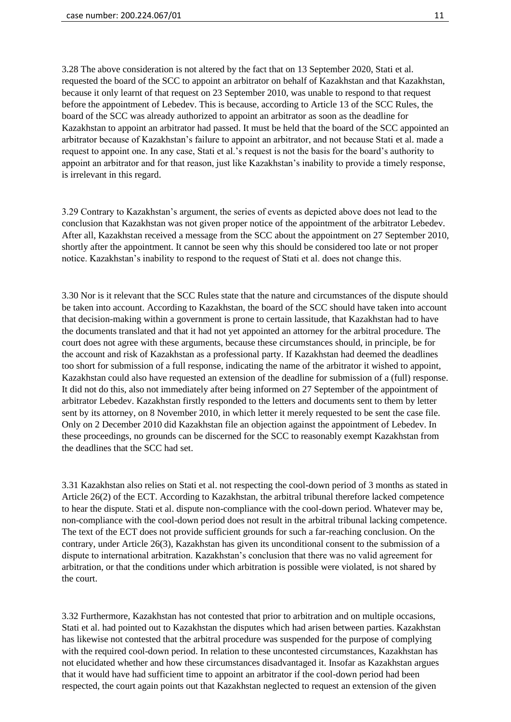3.28 The above consideration is not altered by the fact that on 13 September 2020, Stati et al. requested the board of the SCC to appoint an arbitrator on behalf of Kazakhstan and that Kazakhstan, because it only learnt of that request on 23 September 2010, was unable to respond to that request before the appointment of Lebedev. This is because, according to Article 13 of the SCC Rules, the board of the SCC was already authorized to appoint an arbitrator as soon as the deadline for Kazakhstan to appoint an arbitrator had passed. It must be held that the board of the SCC appointed an arbitrator because of Kazakhstan's failure to appoint an arbitrator, and not because Stati et al. made a request to appoint one. In any case, Stati et al.'s request is not the basis for the board's authority to appoint an arbitrator and for that reason, just like Kazakhstan's inability to provide a timely response, is irrelevant in this regard.

3.29 Contrary to Kazakhstan's argument, the series of events as depicted above does not lead to the conclusion that Kazakhstan was not given proper notice of the appointment of the arbitrator Lebedev. After all, Kazakhstan received a message from the SCC about the appointment on 27 September 2010, shortly after the appointment. It cannot be seen why this should be considered too late or not proper notice. Kazakhstan's inability to respond to the request of Stati et al. does not change this.

3.30 Nor is it relevant that the SCC Rules state that the nature and circumstances of the dispute should be taken into account. According to Kazakhstan, the board of the SCC should have taken into account that decision-making within a government is prone to certain lassitude, that Kazakhstan had to have the documents translated and that it had not yet appointed an attorney for the arbitral procedure. The court does not agree with these arguments, because these circumstances should, in principle, be for the account and risk of Kazakhstan as a professional party. If Kazakhstan had deemed the deadlines too short for submission of a full response, indicating the name of the arbitrator it wished to appoint, Kazakhstan could also have requested an extension of the deadline for submission of a (full) response. It did not do this, also not immediately after being informed on 27 September of the appointment of arbitrator Lebedev. Kazakhstan firstly responded to the letters and documents sent to them by letter sent by its attorney, on 8 November 2010, in which letter it merely requested to be sent the case file. Only on 2 December 2010 did Kazakhstan file an objection against the appointment of Lebedev. In these proceedings, no grounds can be discerned for the SCC to reasonably exempt Kazakhstan from the deadlines that the SCC had set.

3.31 Kazakhstan also relies on Stati et al. not respecting the cool-down period of 3 months as stated in Article 26(2) of the ECT. According to Kazakhstan, the arbitral tribunal therefore lacked competence to hear the dispute. Stati et al. dispute non-compliance with the cool-down period. Whatever may be, non-compliance with the cool-down period does not result in the arbitral tribunal lacking competence. The text of the ECT does not provide sufficient grounds for such a far-reaching conclusion. On the contrary, under Article 26(3), Kazakhstan has given its unconditional consent to the submission of a dispute to international arbitration. Kazakhstan's conclusion that there was no valid agreement for arbitration, or that the conditions under which arbitration is possible were violated, is not shared by the court.

3.32 Furthermore, Kazakhstan has not contested that prior to arbitration and on multiple occasions, Stati et al. had pointed out to Kazakhstan the disputes which had arisen between parties. Kazakhstan has likewise not contested that the arbitral procedure was suspended for the purpose of complying with the required cool-down period. In relation to these uncontested circumstances, Kazakhstan has not elucidated whether and how these circumstances disadvantaged it. Insofar as Kazakhstan argues that it would have had sufficient time to appoint an arbitrator if the cool-down period had been respected, the court again points out that Kazakhstan neglected to request an extension of the given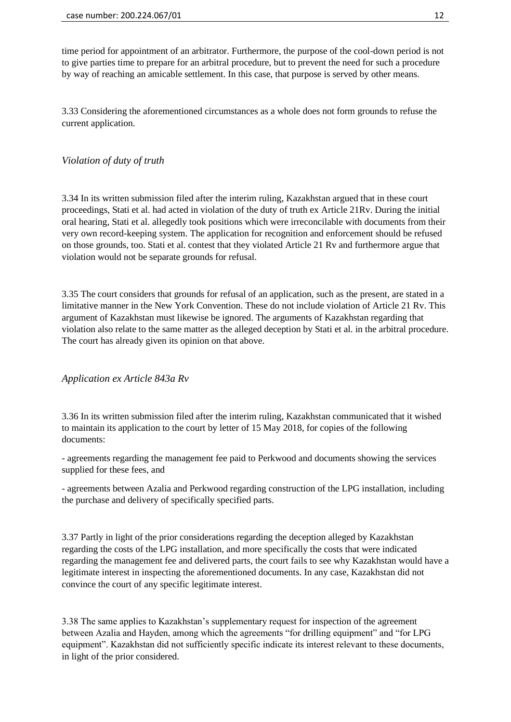time period for appointment of an arbitrator. Furthermore, the purpose of the cool-down period is not to give parties time to prepare for an arbitral procedure, but to prevent the need for such a procedure by way of reaching an amicable settlement. In this case, that purpose is served by other means.

3.33 Considering the aforementioned circumstances as a whole does not form grounds to refuse the current application.

## *Violation of duty of truth*

3.34 In its written submission filed after the interim ruling, Kazakhstan argued that in these court proceedings, Stati et al. had acted in violation of the duty of truth ex Article 21Rv. During the initial oral hearing, Stati et al. allegedly took positions which were irreconcilable with documents from their very own record-keeping system. The application for recognition and enforcement should be refused on those grounds, too. Stati et al. contest that they violated Article 21 Rv and furthermore argue that violation would not be separate grounds for refusal.

3.35 The court considers that grounds for refusal of an application, such as the present, are stated in a limitative manner in the New York Convention. These do not include violation of Article 21 Rv. This argument of Kazakhstan must likewise be ignored. The arguments of Kazakhstan regarding that violation also relate to the same matter as the alleged deception by Stati et al. in the arbitral procedure. The court has already given its opinion on that above.

*Application ex Article 843a Rv*

3.36 In its written submission filed after the interim ruling, Kazakhstan communicated that it wished to maintain its application to the court by letter of 15 May 2018, for copies of the following documents:

- agreements regarding the management fee paid to Perkwood and documents showing the services supplied for these fees, and

- agreements between Azalia and Perkwood regarding construction of the LPG installation, including the purchase and delivery of specifically specified parts.

3.37 Partly in light of the prior considerations regarding the deception alleged by Kazakhstan regarding the costs of the LPG installation, and more specifically the costs that were indicated regarding the management fee and delivered parts, the court fails to see why Kazakhstan would have a legitimate interest in inspecting the aforementioned documents. In any case, Kazakhstan did not convince the court of any specific legitimate interest.

3.38 The same applies to Kazakhstan's supplementary request for inspection of the agreement between Azalia and Hayden, among which the agreements "for drilling equipment" and "for LPG equipment". Kazakhstan did not sufficiently specific indicate its interest relevant to these documents, in light of the prior considered.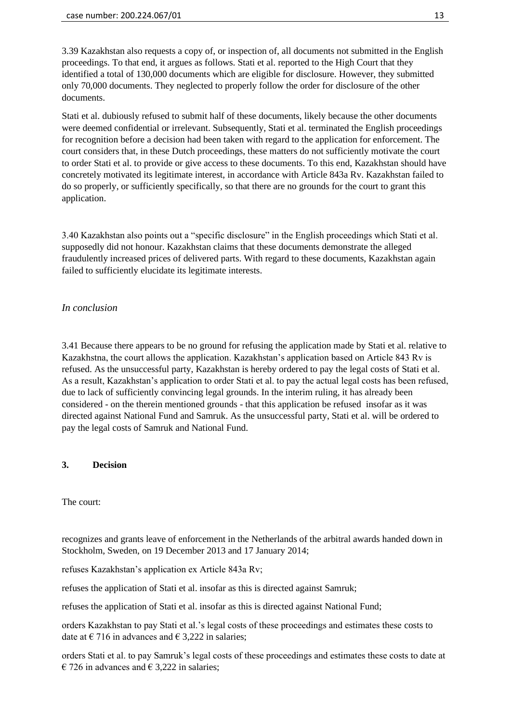3.39 Kazakhstan also requests a copy of, or inspection of, all documents not submitted in the English proceedings. To that end, it argues as follows. Stati et al. reported to the High Court that they identified a total of 130,000 documents which are eligible for disclosure. However, they submitted only 70,000 documents. They neglected to properly follow the order for disclosure of the other documents.

Stati et al. dubiously refused to submit half of these documents, likely because the other documents were deemed confidential or irrelevant. Subsequently, Stati et al. terminated the English proceedings for recognition before a decision had been taken with regard to the application for enforcement. The court considers that, in these Dutch proceedings, these matters do not sufficiently motivate the court to order Stati et al. to provide or give access to these documents. To this end, Kazakhstan should have concretely motivated its legitimate interest, in accordance with Article 843a Rv. Kazakhstan failed to do so properly, or sufficiently specifically, so that there are no grounds for the court to grant this application.

3.40 Kazakhstan also points out a "specific disclosure" in the English proceedings which Stati et al. supposedly did not honour. Kazakhstan claims that these documents demonstrate the alleged fraudulently increased prices of delivered parts. With regard to these documents, Kazakhstan again failed to sufficiently elucidate its legitimate interests.

# *In conclusion*

3.41 Because there appears to be no ground for refusing the application made by Stati et al. relative to Kazakhstna, the court allows the application. Kazakhstan's application based on Article 843 Rv is refused. As the unsuccessful party, Kazakhstan is hereby ordered to pay the legal costs of Stati et al. As a result, Kazakhstan's application to order Stati et al. to pay the actual legal costs has been refused, due to lack of sufficiently convincing legal grounds. In the interim ruling, it has already been considered - on the therein mentioned grounds - that this application be refused insofar as it was directed against National Fund and Samruk. As the unsuccessful party, Stati et al. will be ordered to pay the legal costs of Samruk and National Fund.

# **3. Decision**

The court:

recognizes and grants leave of enforcement in the Netherlands of the arbitral awards handed down in Stockholm, Sweden, on 19 December 2013 and 17 January 2014;

refuses Kazakhstan's application ex Article 843a Rv;

refuses the application of Stati et al. insofar as this is directed against Samruk;

refuses the application of Stati et al. insofar as this is directed against National Fund;

orders Kazakhstan to pay Stati et al.'s legal costs of these proceedings and estimates these costs to date at  $\epsilon$  716 in advances and  $\epsilon$  3,222 in salaries;

orders Stati et al. to pay Samruk's legal costs of these proceedings and estimates these costs to date at  $\epsilon$  726 in advances and  $\epsilon$  3.222 in salaries: